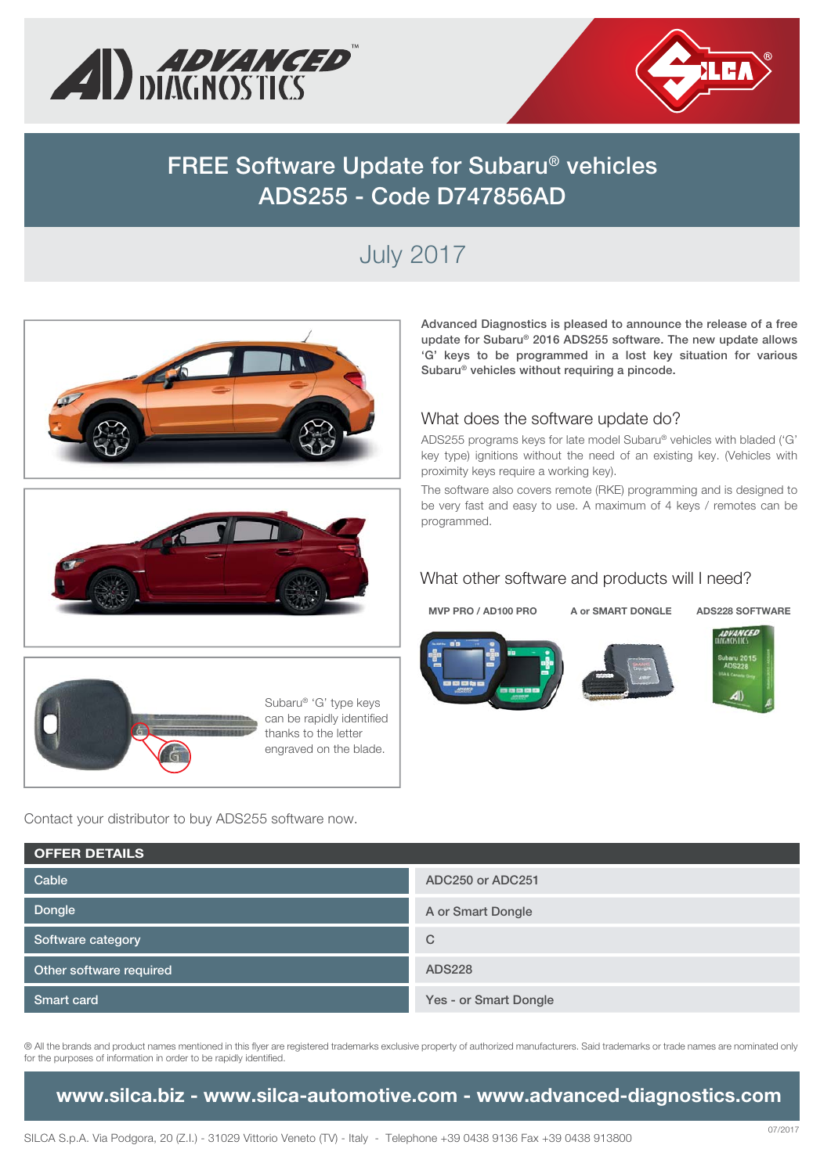



# **FREE Software Update for Subaru® vehicles ADS255 - Code D747856AD**

# July 2017







Subaru® 'G' type keys can be rapidly identified thanks to the letter engraved on the blade.

Contact your distributor to buy ADS255 software now.

**Advanced Diagnostics is pleased to announce the release of a free update for Subaru® 2016 ADS255 software. The new update allows 'G' keys to be programmed in a lost key situation for various Subaru® vehicles without requiring a pincode.** 

#### What does the software update do?

ADS255 programs keys for late model Subaru® vehicles with bladed ('G' key type) ignitions without the need of an existing key. (Vehicles with proximity keys require a working key).

The software also covers remote (RKE) programming and is designed to be very fast and easy to use. A maximum of 4 keys / remotes can be programmed.

#### What other software and products will I need?

**MVP PRO / AD100 PRO A or SMART DONGLE ADS228 SOFTWARE**







| <b>OFFER DETAILS</b>    |                       |
|-------------------------|-----------------------|
| Cable                   | ADC250 or ADC251      |
| Dongle                  | A or Smart Dongle     |
| Software category       | $\mathcal{C}$         |
| Other software required | <b>ADS228</b>         |
| <b>Smart card</b>       | Yes - or Smart Dongle |

® All the brands and product names mentioned in this flyer are registered trademarks exclusive property of authorized manufacturers. Said trademarks or trade names are nominated only for the purposes of information in order to be rapidly identified.

**www.silca.biz - www.silca-automotive.com - www.advanced-diagnostics.com**